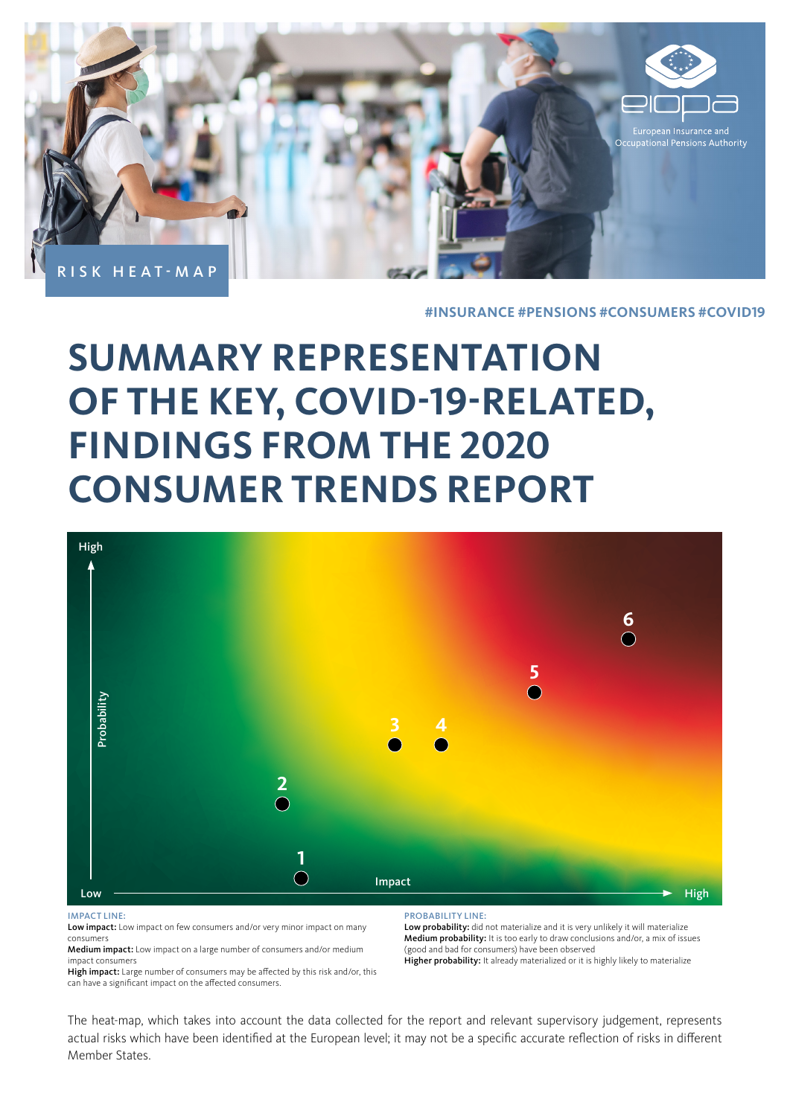

#### **#INSURANCE #PENSIONS #CONSUMERS #COVID19**

# **SUMMARY REPRESENTATION OF THE KEY, COVID-19-RELATED, FINDINGS FROM THE 2020 CONSUMER TRENDS REPORT**



#### IMPACT LINE:

Low impact: Low impact on few consumers and/or very minor impact on many consumers

Medium impact: Low impact on a large number of consumers and/or medium impact consumers

High impact: Large number of consumers may be affected by this risk and/or, this can have a significant impact on the affected consumers.

PROBABILITY LINE:

Low probability: did not materialize and it is very unlikely it will materialize Medium probability: It is too early to draw conclusions and/or, a mix of issues (good and bad for consumers) have been observed Higher probability: It already materialized or it is highly likely to materialize

The heat-map, which takes into account the data collected for the report and relevant supervisory judgement, represents actual risks which have been identified at the European level; it may not be a specific accurate reflection of risks in different Member States.